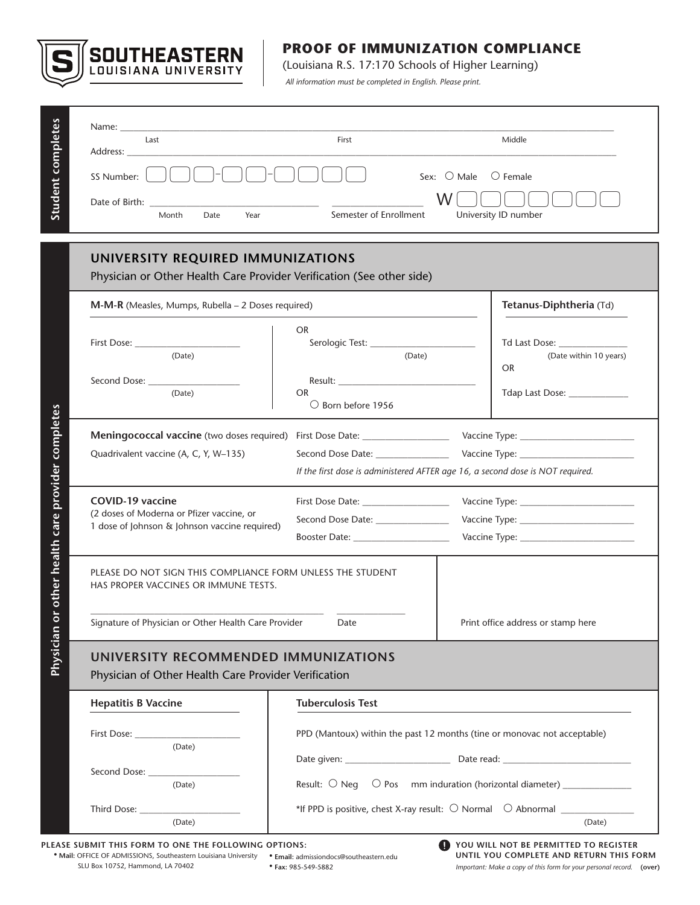

# **PROOF OF IMMUNIZATION COMPLIANCE**

(Louisiana R.S. 17:170 Schools of Higher Learning)

*All information must be completed in English. Please print.*

| Name: $\_\_$<br>Last<br>Address:<br>$\left[ \begin{array}{cc} \end{array} \right]$ $\left[ \begin{array}{cc} \end{array} \right]$<br>SS Number:<br>Date of Birth:<br>Month<br>Date<br>Year | First<br>$\vert$ $\vert$ $\vert$<br>Semester of Enrollment                                                         | Middle<br>Sex: $\bigcirc$ Male<br>$\bigcirc$ Female<br>W.<br>University ID number |
|--------------------------------------------------------------------------------------------------------------------------------------------------------------------------------------------|--------------------------------------------------------------------------------------------------------------------|-----------------------------------------------------------------------------------|
| UNIVERSITY REQUIRED IMMUNIZATIONS<br>Physician or Other Health Care Provider Verification (See other side)                                                                                 |                                                                                                                    |                                                                                   |
| $M-M-R$ (Measles, Mumps, Rubella – 2 Doses required)                                                                                                                                       |                                                                                                                    | Tetanus-Diphtheria (Td)                                                           |
| First Dose: ________<br>(Date)                                                                                                                                                             | <b>OR</b><br>Serologic Test: ____________<br>(Date)                                                                | Td Last Dose:<br>(Date within 10 years)<br><b>OR</b>                              |
| Second Dose:<br>(Date)                                                                                                                                                                     | <b>OR</b><br>$\circ$ Born before 1956                                                                              | Tdap Last Dose: _____________                                                     |
| Quadrivalent vaccine (A, C, Y, W-135)                                                                                                                                                      | Second Dose Date: _________________                                                                                | If the first dose is administered AFTER age 16, a second dose is NOT required.    |
| <b>COVID-19 vaccine</b><br>(2 doses of Moderna or Pfizer vaccine, or<br>1 dose of Johnson & Johnson vaccine required)                                                                      | First Dose Date: ___________________<br>Second Dose Date: ______________<br>Booster Date: ________________________ |                                                                                   |
| PLEASE DO NOT SIGN THIS COMPLIANCE FORM UNLESS THE STUDENT<br>HAS PROPER VACCINES OR IMMUNE TESTS.                                                                                         |                                                                                                                    |                                                                                   |
| Signature of Physician or Other Health Care Provider                                                                                                                                       | Date                                                                                                               | Print office address or stamp here                                                |

|                                |                                                                                                                       |  | If the first dose is ad                                |  |
|--------------------------------|-----------------------------------------------------------------------------------------------------------------------|--|--------------------------------------------------------|--|
| provider                       | <b>COVID-19 vaccine</b><br>(2 doses of Moderna or Pfizer vaccine, or<br>1 dose of Johnson & Johnson vaccine required) |  | First Dose Date:<br>Second Dose Date:<br>Booster Date: |  |
| Physician or other health care | PLEASE DO NOT SIGN THIS COMPLIANCE FORM UNLESS THE STUI<br>HAS PROPER VACCINES OR IMMUNE TESTS.                       |  |                                                        |  |
|                                | Signature of Physician or Other Health Care Provider                                                                  |  | Date                                                   |  |
|                                | UNIVERSITY RECOMMENDED IMMUNIZATIC<br><b>Physician of Other Health Care Provider Verification</b>                     |  |                                                        |  |

Physician of Other Health Care Provider Verification

| <b>Hepatitis B Vaccine</b>                                                                                                                                                                                                     | <b>Tuberculosis Test</b>                                                                            |  |
|--------------------------------------------------------------------------------------------------------------------------------------------------------------------------------------------------------------------------------|-----------------------------------------------------------------------------------------------------|--|
| First Dose: __________________<br>(Date)                                                                                                                                                                                       | PPD (Mantoux) within the past 12 months (tine or monovac not acceptable)                            |  |
| Second Dose: The Second Second Second Second Second Second Second Second Second Second Second Second Second Second Second Second Second Second Second Second Second Second Second Second Second Second Second Second Second Se | Date given: Date read:                                                                              |  |
| (Date)                                                                                                                                                                                                                         | Result: $\bigcirc$ Neq $\bigcirc$ Pos mm induration (horizontal diameter) ________________          |  |
| (Date)                                                                                                                                                                                                                         | *If PPD is positive, chest X-ray result: $\bigcirc$ Normal $\bigcirc$ Abnormal $\bigcirc$<br>(Date) |  |

**PLEASE SUBMIT THIS FORM TO ONE THE FOLLOWING OPTIONS:** 

SLU Box 10752, Hammond, LA 70402

**• Mail:** OFFICE OF ADMISSIONS, Southeastern Louisiana University **• Email:** admissiondocs@southeastern.edu **• Fax:** 985-549-5882

**YOU WILL NOT BE PERMITTED TO REGISTER**  O **UNTIL YOU COMPLETE AND RETURN THIS FORM** *Important: Make a copy of this form for your personal record.* **(over)**